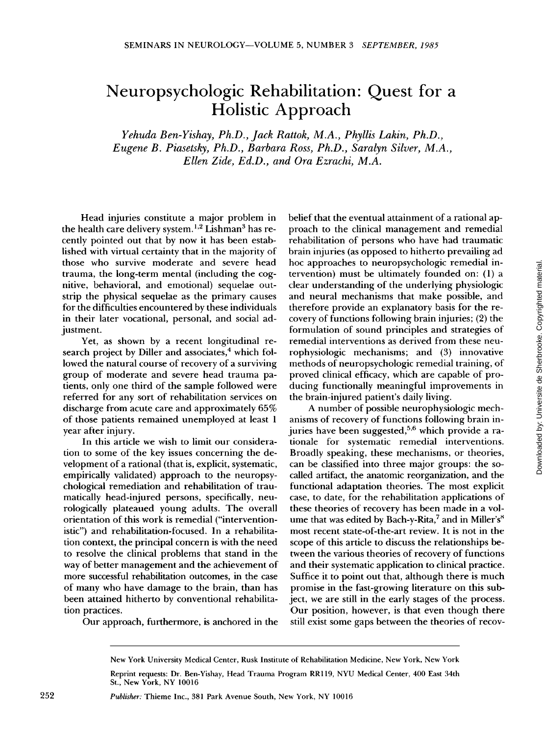# Neuropsychologic Rehabilitation: Quest for a Holistic Approach

*Yehuda Ben-Yishay, Ph.D., Jack Rattok, M.A., Phyllis Lakin, Ph.D., Eugene B. Piasetsky, Ph.D., Barbara Ross, Ph.D., Saralyn Silver, M.A., Ellen Zide, Ed.D., and Ora Ezrachi, M.A.* 

Head injuries constitute a major problem in the health care delivery system.<sup>1,2</sup> Lishman<sup>3</sup> has recently pointed out that by now it has been established with virtual certainty that in the majority of those who survive moderate and severe head trauma, the long-term mental (including the cognitive, behavioral, and emotional) sequelae outstrip the physical sequelae as the primary causes for the difficulties encountered by these individuals in their later vocational, personal, and social adjustment.

Yet, as shown by a recent longitudinal research project by Diller and associates, $<sup>4</sup>$  which fol-</sup> lowed the natural course of recovery of a surviving group of moderate and severe head trauma patients, only one third of the sample followed were referred for any sort of rehabilitation services on discharge from acute care and approximately 65% of those patients remained unemployed at least 1 year after injury.

In this article we wish to limit our consideration to some of the key issues concerning the development of a rational (that is, explicit, systematic, empirically validated) approach to the neuropsychological remediation and rehabilitation of traumatically head-injured persons, specifically, neurologically plateaued young adults. The overall orientation of this work is remedial ("interventionistic") and rehabilitation-focused. In a rehabilitation context, the principal concern is with the need to resolve the clinical problems that stand in the way of better management and the achievement of more successful rehabilitation outcomes, in the case of many who have damage to the brain, than has been attained hitherto by conventional rehabilitation practices.

belief that the eventual attainment of a rational approach to the clinical management and remedial rehabilitation of persons who have had traumatic: brain injuries (as opposed to hitherto prevailing ad hoc approaches to neuropsychologic remedial intervention) must be ultimately founded on: (1) a clear understanding of the underlying physiologic and neural mechanisms that make possible, and therefore provide an explanatory basis for the recovery of functions following brain injuries; (2) the formulation of sound principles and strategies of remedial interventions as derived from these neurophysiologic mechanisms; and (3) innovative methods of neuropsychologic remedial training, of proved clinical efficacy, which are capable of producing functionally meaningful improvements in the brain-injured patient's daily living.

A number of possible neurophysiologic mechanisms of recovery of functions following brain injuries have been suggested, $5,6$  which provide a rationale for systematic remedial interventions. Broadly speaking, these mechanisms, or theories, can be classified into three major groups: the socalled artifact, the anatomic reorganization, and the functional adaptation theories. The most explicit case, to date, for the rehabilitation applications of these theories of recovery has been made in a volume that was edited by Bach-y-Rita,<sup>7</sup> and in Miller's<sup>8</sup> most recent state-of-the-art review. It is not in the scope of this article to discuss the relationships between the various theories of recovery of functions and their systematic application to clinical practice. Suffice it to point out that, although there is much promise in the fast-growing literature on this subject, we are still in the early stages of the process. Our position, however, is that even though there still exist some gaps between the theories of recov-

Our approach, furthermore, is anchored in the

**New York University Medical Center, Rusk Institute of Rehabilitation Medicine, New York, New York** 

**Reprint requests: Dr. Ben-Yishay, Head Trauma Program RR119, NYU Medical Center, 400 East 34th St., New York, NY 10016**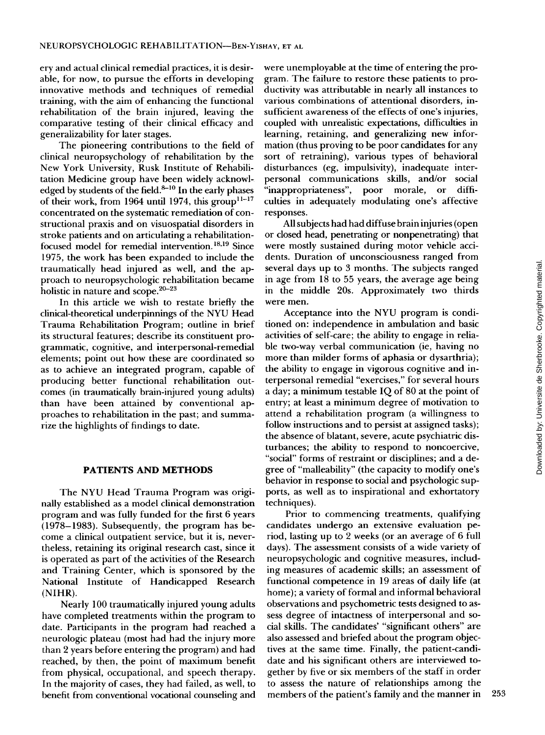ery and actual clinical remedial practices, it is desirable, for now, to pursue the efforts in developing innovative methods and techniques of remedial training, with the aim of enhancing the functional rehabilitation of the brain injured, leaving the comparative testing of their clinical efficacy and generalizability for later stages.

The pioneering contributions to the field of clinical neuropsychology of rehabilitation by the New York University, Rusk Institute of Rehabilitation Medicine group have been widely acknowledged by students of the field. $8-10$  In the early phases of their work, from 1964 until 1974, this group<sup>11-17</sup> concentrated on the systematic remediation of constructional praxis and on visuospatial disorders in stroke patients and on articulating a rehabilitationfocused model for remedial intervention. $^{18,19}$  Since 1975, the work has been expanded to include the traumatically head injured as well, and the approach to neuropsychologic rehabilitation became holistic in nature and scope.<sup>20-23</sup>

In this article we wish to restate briefly the clinical-theoretical underpinnings of the NYU Head Trauma Rehabilitation Program; outline in brief its structural features; describe its constituent programmatic, cognitive, and interpersonal-remedial elements; point out how these are coordinated so as to achieve an integrated program, capable of producing better functional rehabilitation outcomes (in traumatically brain-injured young adults) than have been attained by conventional approaches to rehabilitation in the past; and summarize the highlights of findings to date.

# **PATIENTS AND METHODS**

The NYU Head Trauma Program was originally established as a model clinical demonstration program and was fully funded for the first 6 years (1978-1983). Subsequently, the program has become a clinical outpatient service, but it is, nevertheless, retaining its original research cast, since it is operated as part of the activities of the Research and Training Center, which is sponsored by the National Institute of Handicapped Research (NIHR).

Nearly 100 traumatically injured young adults have completed treatments within the program to date. Participants in the program had reached a neurologic plateau (most had had the injury more than 2 years before entering the program) and had reached, by then, the point of maximum benefit from physical, occupational, and speech therapy. In the majority of cases, they had failed, as well, to benefit from conventional vocational counseling and were unemployable at the time of entering the program. The failure to restore these patients to productivity was attributable in nearly all instances to various combinations of attentional disorders, insufficient awareness of the effects of one's injuries, coupled with unrealistic expectations, difficulties in learning, retaining, and generalizing new information (thus proving to be poor candidates for any sort of retraining), various types of behavioral disturbances (eg, impulsivity), inadequate interpersonal communications skills, and/or social "inappropriateness", poor morale, or difficulties in adequately modulating one's affective responses.

All subjects had had diffuse brain injuries (open or closed head, penetrating or nonpenetrating) that were mostly sustained during motor vehicle accidents. Duration of unconsciousness ranged from several days up to 3 months. The subjects ranged in age from 18 to 55 years, the average age being in the middle 20s. Approximately two thirds were men.

Acceptance into the NYU program is conditioned on: independence in ambulation and basic activities of self-care; the ability to engage in reliable two-way verbal communication (ie, having no more than milder forms of aphasia or dysarthria); the ability to engage in vigorous cognitive and interpersonal remedial "exercises," for several hours a day; a minimum testable IQ of 80 at the point of entry; at least a minimum degree of motivation to attend a rehabilitation program (a willingness to follow instructions and to persist at assigned tasks); the absence of blatant, severe, acute psychiatric disturbances; the ability to respond to noncoercive, "social" forms of restraint or disciplines; and a degree of "malleability" (the capacity to modify one's behavior in response to social and psychologic supports, as well as to inspirational and exhortatory techniques).

Prior to commencing treatments, qualifying candidates undergo an extensive evaluation period, lasting up to 2 weeks (or an average of 6 full days). The assessment consists of a wide variety of neuropsychologic and cognitive measures, including measures of academic skills; an assessment of functional competence in 19 areas of daily life (at home); a variety of formal and informal behavioral observations and psychometric tests designed to assess degree of intactness of interpersonal and social skills. The candidates' "significant others" are also assessed and briefed about the program objectives at the same time. Finally, the patient-candidate and his significant others are interviewed together by five or six members of the staff in order to assess the nature of relationships among the members of the patient's family and the manner in **253**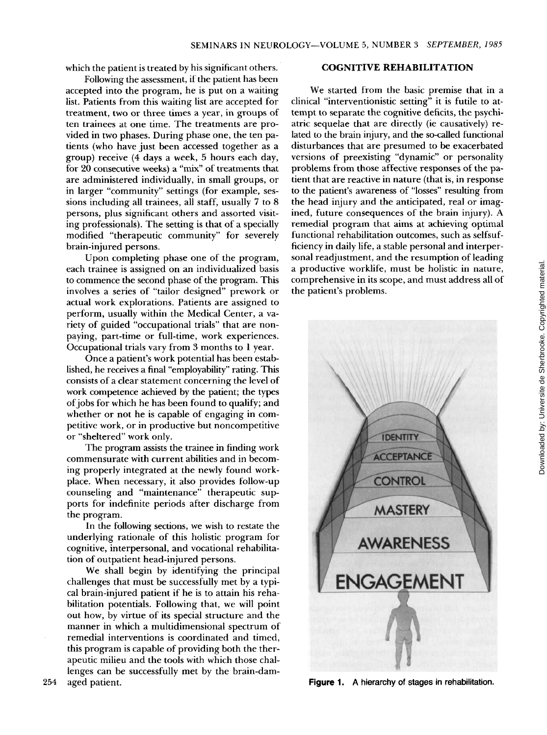which the patient is treated by his significant others.

Following the assessment, if the patient has been accepted into the program, he is put on a waiting list. Patients from this waiting list are accepted for treatment, two or three times a year, in groups of ten trainees at one time. The treatments are provided in two phases. During phase one, the ten patients (who have just been accessed together as a group) receive (4 days a week, 5 hours each day, for 20 consecutive weeks) a "mix" of treatments that are administered individually, in small groups, or in larger "community" settings (for example, sessions including all trainees, all staff, usually **7** to 8 persons, plus significant others and assorted visiting professionals). The setting is that of a specially modified "therapeutic community" for severely brain-injured persons.

Upon completing phase one of the program, each trainee is assigned on an individualized basis to commence the second phase of the program. This involves a series of "tailor designed" prework or actual work explorations. Patients are assigned to perform, usually within the Medical Center, a variety of guided "occupational trials" that are nonpaying, part-time or full-time, work experiences. Occupational trials vary from 3 months to 1 year.

Once a patient's work potential has been established, he receives a final "employability" rating. This consists of a clear statement concerning the level of work competence achieved by the patient; the types of jobs for which he has been found to qualify; and whether or not he is capable of engaging in competitive work, or in productive but noncompetitive or "sheltered" work only.

The program assists the trainee in finding work commensurate with current abilities and in becoming properly integrated at the newly found workplace. When necessary, it also provides follow-up counseling and "maintenance" therapeutic supports for indefinite periods after discharge from the program.

In the following sections, we wish to restate the underlying rationale of this holistic program for cognitive, interpersonal, and vocational rehabilitation of outpatient head-injured persons.

We shall begin by identifying the principal challenges that must be successfully met by a typical brain-injured patient if he is to attain his rehabilitation potentials. Following that, we will point out how, by virtue of its special structure and the manner in which a multidimensional spectrum of remedial interventions is coordinated and timed, this program is capable of providing both the therapeutic milieu and the tools with which those challenges can be successfully met by the brain-dam-254 aged patient.

## **COGNITIVE REHABILITATION**

We started from the basic premise that in a clinical "interventionistic setting" it is futile to attempt to separate the cognitive deficits, the psychiatric sequelae that are directly (ie causatively) related to the brain injury, and the so-called functional disturbances that are presumed to be exacerbated versions of preexisting "dynamic" or personality problems from those affective responses of the patient that are reactive in nature (that is, in response to the patient's awareness of "losses" resulting from the head injury and the anticipated, real or imagined, future consequences of the brain injury). A remedial program that aims at achieving optimal functional rehabilitation outcomes, such as selfsufficiency in daily life, a stable personal and interpersonal readjustment, and the resumption of leading a productive worklife, must be holistic in nature, comprehensive in its scope, and must address all of the patient's problems.



**Figure 1. A hierarchy of stages in rehabilitation.**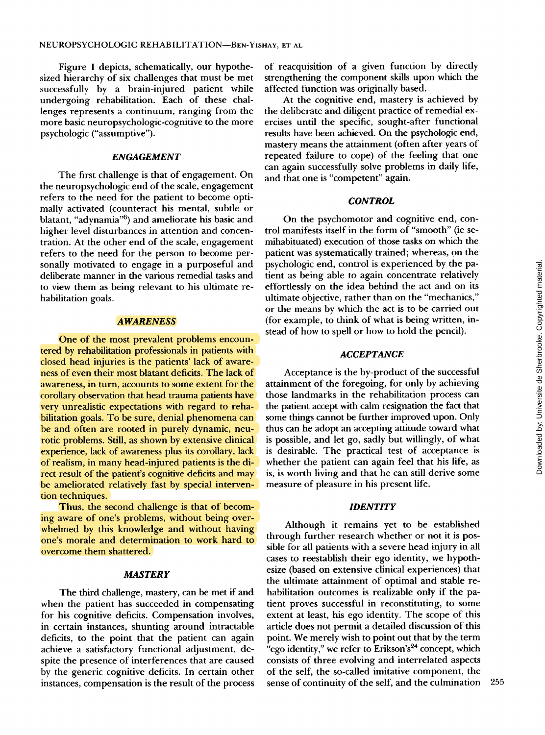Figure 1 depicts, schematically, our hypothesized hierarchy of six challenges that must be met successfully by a brain-injured patient while undergoing rehabilitation. Each of these challenges represents a continuum, ranging from the more basic neuropsychologic-cognitive to the more psychologic ("assumptive").

#### *ENGAGEMENT*

The first challenge is that of engagement. On the neuropsychologic end of the scale, engagement refers to the need for the patient to become optimally activated (counteract his mental, subtle or blatant, "adynamia"<sup>6</sup>) and ameliorate his basic and higher level disturbances in attention and concentration. At the other end of the scale, engagement refers to the need for the person to become personally motivated to engage in a purposeful and deliberate manner in the various remedial tasks and to view them as being relevant to his ultimate rehabilitation goals.

#### *AWARENESS*

One of the most prevalent problems encountered by rehabilitation professionals in patients with closed head injuries is the patients' lack of awareness of even their most blatant deficits. The lack of awareness, in turn, accounts to some extent for the corollary observation that head trauma patients have very unrealistic expectations with regard to rehabilitation goals. To be sure, denial phenomena can be and often are rooted in purely dynamic, neurotic problems. Still, as shown by extensive clinical experience, lack of awareness plus its corollary, lack of realism, in many head-injured patients is the direct result of the patient's cognitive deficits and may be ameliorated relatively fast by special intervention techniques.

Thus, the second challenge is that of becoming aware of one's problems, without being overwhelmed by this knowledge and without having one's morale and determination to work hard to overcome them shattered.

#### *MASTERY*

The third challenge, mastery, can be met if and when the patient has succeeded in compensating for his cognitive deficits. Compensation involves, in certain instances, shunting around intractable deficits, to the point that the patient can again achieve a satisfactory functional adjustment, despite the presence of interferences that are caused by the generic cognitive deficits. In certain other instances, compensation is the result of the process of reacquisition of a given function by directly strengthening the component skills upon which the affected function was originally based.

At the cognitive end, mastery is achieved by the deliberate and diligent practice of remedial exercises until the specific, sought-after functional results have been achieved. On the psychologic end, mastery means the attainment (often after years of repeated failure to cope) of the feeling that one can again successfully solve problems in daily life, and that one is "competent" again.

#### *CONTROL*

On the psychomotor and cognitive end, control manifests itself in the form of "smooth" (ie semihabituated) execution of those tasks on which the patient was systematically trained; whereas, on the psychologic end, control is experienced by the patient as being able to again concentrate relatively effortlessly on the idea behind the act and on its ultimate objective, rather than on the "mechanics," or the means by which the act is to be carried out (for example, to think of what is being written, instead of how to spell or how to hold the pencil).

## *ACCEPTANCE*

Acceptance is the by-product of the successful attainment of the foregoing, for only by achieving those landmarks in the rehabilitation process can the patient accept with calm resignation the fact that some things cannot be further improved upon. Only thus can he adopt an accepting attitude toward what is possible, and let go, sadly but willingly, of what is desirable. The practical test of acceptance is whether the patient can again feel that his life, as is, is worth living and that he can still derive some measure of pleasure in his present life.

#### *IDENTITY*

Although it remains yet to be established through further research whether or not it is possible for all patients with a severe head injury in all cases to reestablish their ego identity, we hypothesize (based on extensive clinical experiences) that the ultimate attainment of optimal and stable rehabilitation outcomes is realizable only if the patient proves successful in reconstituting, to some extent at least, his ego identity. The scope of this article does not permit a detailed discussion of this point. We merely wish to point out that by the term "ego identity," we refer to Erikson's<sup>24</sup> concept, which consists of three evolving and interrelated aspects of the self, the so-called imitative component, the sense of continuity of the self, and the culmination **<sup>255</sup>**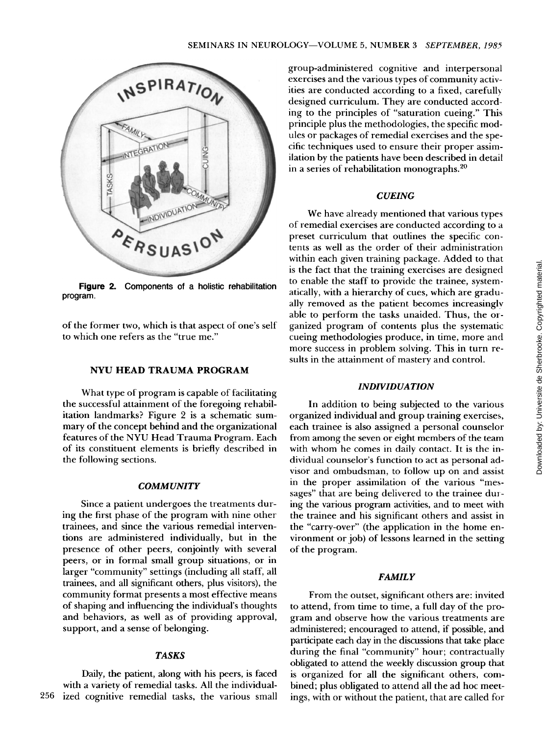

Figure 2. Components of a holistic rehabilitation **program.** 

# **NYU HEAD TRAUMA PROGRAM**

What type of program is capable of facilitating the successful attainment of the foregoing rehabilitation landmarks? Figure 2 is a schematic summary of the concept behind and the organizational features of the NYU Head Trauma Program. Each of its constituent elements is briefly described in the following sections.

## *COMMUNITY*

Since a patient undergoes the treatments during the first phase of the program with nine other trainees, and since the various remedial interventions are administered individually, but in the presence of other peers, conjointly with several peers, or in formal small group situations, or in larger "community" settings (including all staff, all trainees, and all significant others, plus visitors), the community format presents a most effective means of shaping and influencing the individual's thoughts and behaviors, as well as of providing approval, support, and a sense of belonging.

## *TASKS*

Daily, the patient, along with his peers, is faced with a variety of remedial tasks. All the individual-**256** ized cognitive remedial tasks, the various small group-administered cognitive and interpersonal exercises and the various types of community activities are conducted according to a fixed, carefully designed curriculum. They are conducted according to the principles of "saturation cueing." This principle plus the methodologies, the specific modules or packages of remedial exercises and the specific techniques used to ensure their proper assimilation by the patients have been described in detail in a series of rehabilitation monographs.20

# *CUEING*

We have already mentioned that various types of remedial exercises are conducted according to a preset curriculum that outlines the specific contents as well as the order of their administration within each given training package. Added to that is the fact that the training exercises are designed<br>to enable the staff to provide the trainee, systematically, with a hierarchy of cues, which are gradually removed as the patient becomes increasinglv able to perform the tasks unaided. Thus, the orof the former two, which is that aspect of one's self ganized program of contents plus the systematic cueing methodologies produce, in time, more and more success in problem solving. This in turn results in the attainment of mastery and control.

# **INDIVIDUATION**

In addition to being subjected to the various organized individual and group training exercises, each trainee is also assigned a personal counselor from among the seven or eight members of the team with whom he comes in daily contact. It is the individual counselor's function to act as personal advisor and ombudsman, to follow up on and assist in the proper assimilation of the various "messages" that are being delivered to the trainee during the various program activities, and to meet with the trainee and his significant others and assist in the "carry-over" (the application in the home environment or job) of lessons learned in the setting of the program.

# **FAMILY**

From the outset, significant others are: invited to attend, from time to time, a full day of the program and observe how the various treatments are administered; encouraged to attend, if possible, and participate each day in the discussions that take place during the final "community" hour; contractually obligated to attend the weekly discussion group that is organized for all the significant others, combined; plus obligated to attend all the ad hoc meetings, with or without the patient, that are called for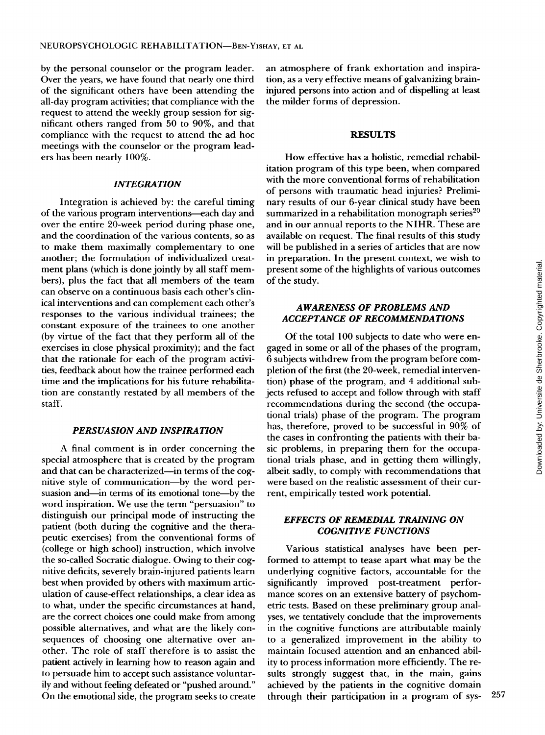by the personal counselor or the program leader. Over the years, we have found that nearly one third of the significant others have been attending the all-day program activities; that compliance with the request to attend the weekly group session for significant others ranged from 50 to 90%, and that compliance with the request to attend the ad hoc meetings with the counselor or the program leaders has been nearly 100%.

## *INTEGRA TION*

Integration is achieved by: the careful timing of the various program interventions-each day and over the entire 20-week period during phase one, and the coordination of the various contents, so as to make them maximally complementary to one another; the formulation of individualized treatment plans (which is done jointly by all staff members), plus the fact that all members of the team can observe on a continuous basis each other's clinical interventions and can complement each other's responses to the various individual trainees; the constant exposure of the trainees to one another (by virtue of the fact that they perform all of the exercises in close physical proximity); and the fact that the rationale for each of the program activities, feedback about how the trainee performed each time and the implications for his future rehabilitation are constantly restated by all members of the staff.

# *PERSUASION AND INSPIRATION*

A final comment is in order concerning the special atmosphere that is created by the program and that can be characterized-in terms of the cognitive style of communication-by the word persuasion and-in terms of its emotional tone-by the word inspiration. We use the term "persuasion" to distinguish our principal mode of instructing the patient (both during the cognitive and the therapeutic exercises) from the conventional forms of (college or high school) instruction, which involve the so-called Socratic dialogue. Owing to their cognitive deficits, severely brain-injured patients learn best when provided by others with maximum articulation of cause-effect relationships, a clear idea as to what, under the specific circumstances at hand, are the correct choices one could make from among possible alternatives, and what are the likely consequences of choosing one alternative over another. The role of staff therefore is to assist the patient actively in learning how to reason again and to persuade him to accept such assistance voluntarily and without feeling defeated or "pushed around." On the emotional side, the program seeks to create an atmosphere of frank exhortation and inspiration, as a very effective means of galvanizing braininjured persons into action and of dispelling at least the milder forms of depression.

# **RESULTS**

How effective has a holistic, remedial rehabilitation program of this type been, when compared with the more conventional forms of rehabilitation of persons with traumatic head injuries? Preliminary results of our 6-year clinical study have been summarized in a rehabilitation monograph series $^{20}$ and in our annual reports to the NIHR. These are available on request. The final results of this study will be published in a series of articles that are now in preparation. In the present context, we wish to present some of the highlights of various outcomes of the study.

# *AWARENESS OF PROBLEMS AND ACCEPTANCE OF RECOMMENDATIONS*

Of the total 100 subjects to date who were engaged in some or all of the phases of the program, 6 subjects withdrew from the program before completion of the first (the 20-week, remedial intervention) phase of the program, and 4 additional subjects refused to accept and follow through with staff recommendations during the second (the occupational trials) phase of the program. The program has, therefore, proved to be successful in 90% of the cases in confronting the patients with their basic problems, in preparing them for the occupational trials phase, and in getting them willingly, albeit sadly, to comply with recommendations that were based on the realistic assessment of their current, empirically tested work potential.

# *EFFECTS OF REMEDIAL TRAINING ON*  **COGNITIVE FUNCTIONS**

Various statistical analyses have been performed to attempt to tease apart what may be the underlying cognitive factors, accountable for the significantly improved post-treatment performance scores on an extensive battery of psychometric tests. Based on these preliminary group analyses, we tentatively conclude that the improvements in the cognitive functions are attributable mainly to a generalized improvement in the ability to maintain focused attention and an enhanced ability to process information more efficiently. The results strongly suggest that, in the main, gains achieved by the patients in the cognitive domain through their participation in a program of sys- **257**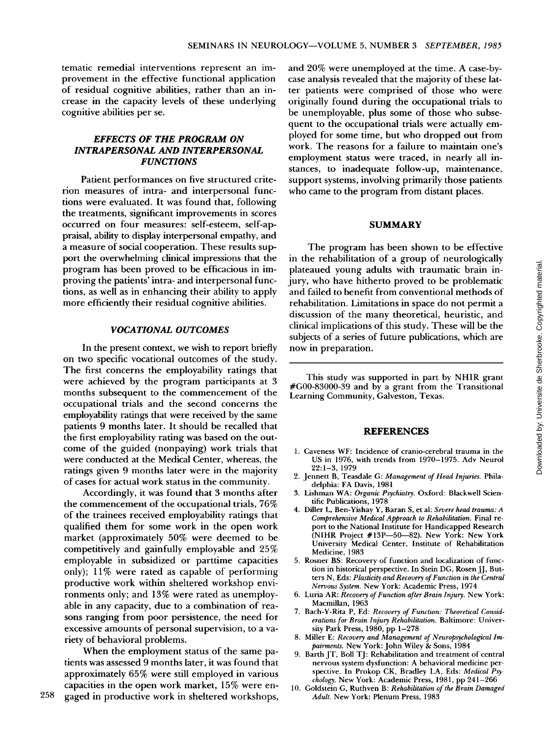tematic remedial interventions represent an improvement in the effective functional application of residual cognitive abilities, rather than an increase in the capacity levels of these underlying cognitive abilities per se.

# *EFFECTS OF THE PROGRAM ON INTRAPERSONAL AND INTERPERSONAL FUNCTIONS*

Patient performances on five structured criterion measures of intra- and interpersonal functions were evaluated. It was found that, following the treatments, significant improvements in scores occurred on four measures: self-esteem, self-appraisal, ability to display interpersonal empathy, and a measure of social cooperation. These results support the overwhelming clinical impressions that the program has been proved to be efficacious in improving the patients' intra- and interpersonal functions, as well as in enhancing their ability to apply more efficiently their residual cognitive abilities.

# *VOCATIONAL OUTCOMES*

In the present context, we wish to report briefly on two specific vocational outcomes of the study. The first concerns the employability ratings that were achieved by the program participants at 3 months subsequent to the commencement of the occupational trials and the second concerns the employability ratings that were received by the same patients 9 months later. It should be recalled that the first employability rating was based on the outcome of the guided (nonpaying) work trials that were conducted at the Medical Center, whereas, the ratings given 9 months later were in the majority of cases for actual work status in the community.

Accordingly, it was found that 3 months after the commencement of the occupational trials, 76% of the trainees received employability ratings that qualified them for some work in the open work market (approximately 50% were deemed to be competitively and gainfully employable and 25% employable in subsidized or parttime capacities only); 11% were rated as capable of performing productive work within sheltered workshop environments only; and 13% were rated as unemployable in any capacity, due to a combination of reasons ranging from poor persistence, the need for excessive amounts of personal supervision, to a variety of behavioral problems.

When the employment status of the same patients was assessed 9 months later, it was found that approximately 65% were still employed in various capacities in the open work market, 15% were en-258 gaged in productive work in sheltered workshops, and 20% were unemployed at the time. A case-bycase analysis revealed that the majority of these latter patients were comprised of those who were originally found during the occupational trials to be unemployable, plus some of those who subsequent to the occupational trials were actually employed for some time, but who dropped out from work. The reasons for a failure to maintain one's employment status were traced, in nearly all instances, to inadequate follow-up, maintenance, support systems, involving primarily those patients who came to the program from distant places.

## **SUMMARY**

The program has been shown to be effective in the rehabilitation of a group of neurologically plateaued young adults with traumatic brain injury, who have hitherto proved to be problematic and failed to benefit from conventional methods of' rehabilitation. Limitations in space do not permit a discussion of the many theoretical, heuristic, and clinical implications of this study. These will be the subjects of a series of future publications, which are now in preparation.

This study was supported in part by NHIR grant #GOO-83000-39 and by a grant from the Transitional Learning Community, Galveston, Texas.

#### **REFERENCES**

- 1. Caveness WF: Incidence of cranio-cerebral trauma in the US in 1976, with trends from 1970-1975. Adv Neurol 22:l-3, 1979
- 2. Jennett B, Teasdale G: *Management of Head Injuries.* Philadelphia: FA Davis, 1981
- 3. Lishman WA: *Organic Psychiatry.* Oxford: Blackwell Scientific Publications, 1978
- 4. Diller **L,** Ben-Yishay Y, Baran S, et al: *Severe head trauma: A Comprehensive Medical Approach to Rehabilitation.* Final report to the National Institute for Handicapped Research (NIHR Project #13P-50-82). New York: New York University Medical Center, Institute of Rehabilitation Medicine, 1983
- 5. Rosner BS: Recovery of function and localization of function in historical perspective. In Stein DG, Rosen JJ, Butters N, Eds: *Plasticity and Recovery of Function in the Central Neruous System.* New York: Academic Press, 1974
- 6. Luria AR: *Recovery of Function afer Brain Injury.* New York: Macmillan, 1963
- **7.** Bach-Y-Rita P, Ed: *Recovery of Function: Theoretical Considerations for Brain Injury Rehabilitation.* Baltimore: University Park Press, 1980, pp 1-278
- 8. Miller E: *Recovery and Management of Neuropsychological Impairments.* New York: John Wiley & Sons, 1984
- 9. Barth JT, Boll TJ: Rehabilitation and treatment of central nervous system dysfunction: A behavioral medicine perspective. In Prokop CK, Bradley LA, Eds: *Medical Psy. chology.* New York: Academic Press, 1981, pp 241-266
- 10. Goldstein G, Ruthven B: *Rehabilitation of the Brain Damaged Adult.* New York: Plenum Press, 1983